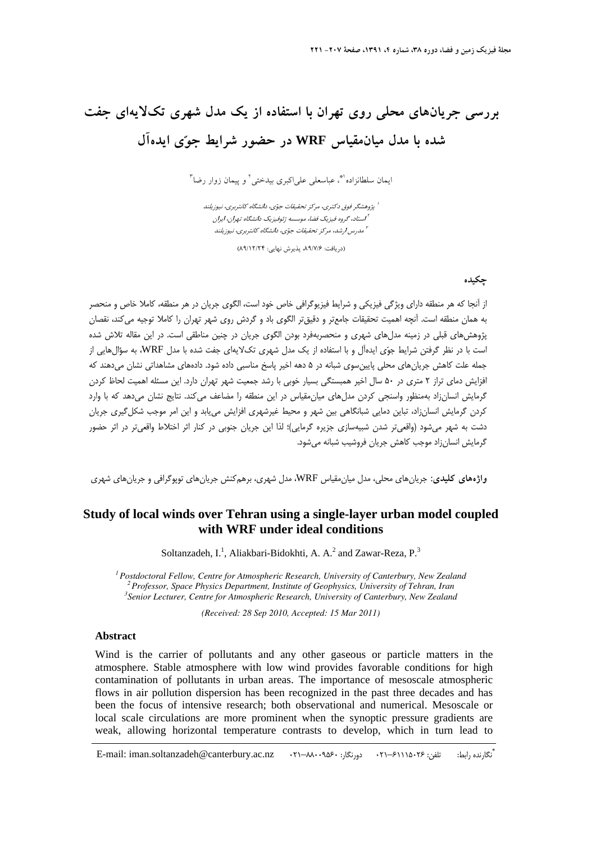# **بررسي جريانهاي محلي روي تهران با استفاده از يك مدل شهري تكلايهاي جفت شده با مدل ميانمقياس WRF در حضور شرايط جوي ايدهآل**

ايمان سلطانزاده<sup>(\*</sup>، عباسعلي علي|كبري بيدختي<sup>٢</sup> و پيمان زوار رضا<sup>٣</sup>

پژوهشگر فوق دكتري، مركز تحقيقات جوي، دانشگاه كانتربري، نيوزيلند <sup>1</sup> استاد، گروه فيزيك فضا، موسسه ژئوفيزيك دانشگاه تهران، ايران <sup>2</sup> مدرس ارشد، مركز تحقيقات جوي، دانشگاه كانتربري، نيوزيلند <sup>3</sup>

(دريافت: ۸۹/۷/۶، پذيرش نهايي: ۸۹/۱۲/۲۴)

#### **چكيده**

از آنجا كه هر منطقه داراي ويژگي فيزيكي و شرايط فيزيوگرافي خاص خود است، الگوي جريان در هر منطقه، كاملا خاص و منحصر به همان منطقه است. آنچه اهميت تحقيقات جامعتر و دقيقتر الگوي باد و گردش روي شهر تهران را كاملا توجيه ميكند، نقصان پژوهشهاي قبلي در زمينه مدلهاي شهري و منحصربهفرد بودن الگوي جريان در چنين مناطقي است. در اين مقاله تلاش شده است با در نظر گرفتن شرايط جوي ايدهآل و با استفاده از يك مدل شهري تكلايهاي جفت شده با مدل WRF، به سؤالهايي از جمله علت كاهش جريانهاي محلي پايينسوي شبانه در 5 دهه اخير پاسخ مناسبي داده شود. دادههاي مشاهداتي نشان ميدهند كه افزايش دماي تراز 2 متري در 50 سال اخير همبستگي بسيار خوبي با رشد جمعيت شهر تهران دارد. اين مسئله اهميت لحاظ كردن گرمايش انسانزاد بهمنظور واسنجي كردن مدلهاي ميانمقياس در اين منطقه را مضاعف ميكند. نتايج نشان ميدهد كه با وارد كردن گرمايش انسانزاد، تباين دمايي شبانگاهي بين شهر و محيط غيرشهري افزايش مييابد و اين امر موجب شكلگيري جريان دشت به شهر ميشود (واقعيتر شدن شبيهسازي جزيره گرمايي)؛ لذا اين جريان جنوبي در كنار اثر اختلاط واقعيتر در اثر حضور گرمايش انسانزاد موجب كاهش جريان فروشيب شبانه ميشود.

**واژههاي كليدي:** جريانهاي محلي، مدل ميانمقياس WRF، مدل شهري، برهمكنش جريانهاي توپوگرافي و جريانهاي شهري

### **Study of local winds over Tehran using a single-layer urban model coupled with WRF under ideal conditions**

Soltanzadeh,  $I^{1}$ , Aliakbari-Bidokhti, A. A.<sup>2</sup> and Zawar-Reza, P.<sup>3</sup>

*1Postdoctoral Fellow, Centre for Atmospheric Research, University of Canterbury, New Zealand 2Professor, Space Physics Department, Institute of Geophysics, University of Tehran, Iran 3 Senior Lecturer, Centre for Atmospheric Research, University of Canterbury, New Zealand* 

*(Received: 28 Sep 2010, Accepted: 15 Mar 2011)* 

#### **Abstract**

Wind is the carrier of pollutants and any other gaseous or particle matters in the atmosphere. Stable atmosphere with low wind provides favorable conditions for high contamination of pollutants in urban areas. The importance of mesoscale atmospheric flows in air pollution dispersion has been recognized in the past three decades and has been the focus of intensive research; both observational and numerical. Mesoscale or local scale circulations are more prominent when the synoptic pressure gradients are weak, allowing horizontal temperature contrasts to develop, which in turn lead to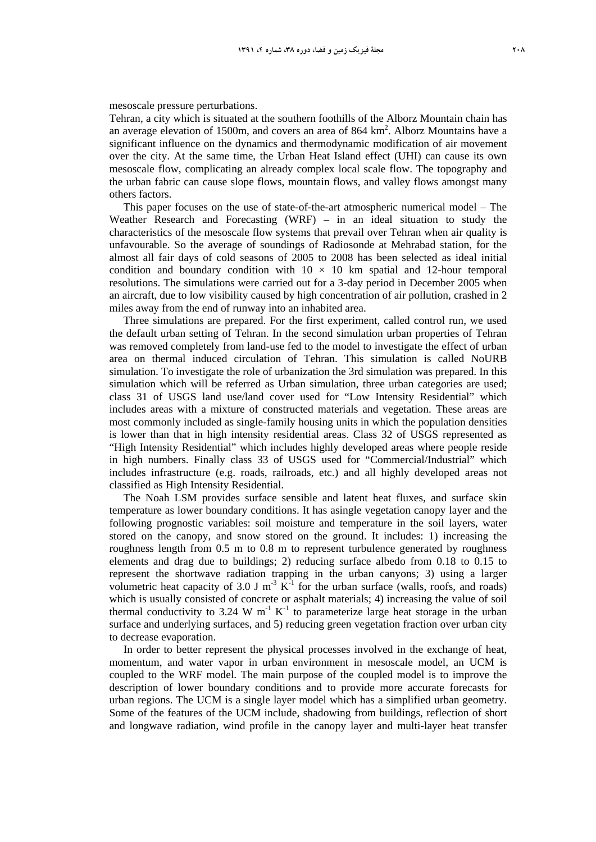#### mesoscale pressure perturbations.

Tehran, a city which is situated at the southern foothills of the Alborz Mountain chain has an average elevation of 1500m, and covers an area of 864 km<sup>2</sup>. Alborz Mountains have a significant influence on the dynamics and thermodynamic modification of air movement over the city. At the same time, the Urban Heat Island effect (UHI) can cause its own mesoscale flow, complicating an already complex local scale flow. The topography and the urban fabric can cause slope flows, mountain flows, and valley flows amongst many others factors.

This paper focuses on the use of state-of-the-art atmospheric numerical model – The Weather Research and Forecasting (WRF) – in an ideal situation to study the characteristics of the mesoscale flow systems that prevail over Tehran when air quality is unfavourable. So the average of soundings of Radiosonde at Mehrabad station, for the almost all fair days of cold seasons of 2005 to 2008 has been selected as ideal initial condition and boundary condition with  $10 \times 10$  km spatial and 12-hour temporal resolutions. The simulations were carried out for a 3-day period in December 2005 when an aircraft, due to low visibility caused by high concentration of air pollution, crashed in 2 miles away from the end of runway into an inhabited area.

Three simulations are prepared. For the first experiment, called control run, we used the default urban setting of Tehran. In the second simulation urban properties of Tehran was removed completely from land-use fed to the model to investigate the effect of urban area on thermal induced circulation of Tehran. This simulation is called NoURB simulation. To investigate the role of urbanization the 3rd simulation was prepared. In this simulation which will be referred as Urban simulation, three urban categories are used; class 31 of USGS land use/land cover used for "Low Intensity Residential" which includes areas with a mixture of constructed materials and vegetation. These areas are most commonly included as single-family housing units in which the population densities is lower than that in high intensity residential areas. Class 32 of USGS represented as "High Intensity Residential" which includes highly developed areas where people reside in high numbers. Finally class 33 of USGS used for "Commercial/Industrial" which includes infrastructure (e.g. roads, railroads, etc.) and all highly developed areas not classified as High Intensity Residential.

The Noah LSM provides surface sensible and latent heat fluxes, and surface skin temperature as lower boundary conditions. It has asingle vegetation canopy layer and the following prognostic variables: soil moisture and temperature in the soil layers, water stored on the canopy, and snow stored on the ground. It includes: 1) increasing the roughness length from 0.5 m to 0.8 m to represent turbulence generated by roughness elements and drag due to buildings; 2) reducing surface albedo from 0.18 to 0.15 to represent the shortwave radiation trapping in the urban canyons; 3) using a larger volumetric heat capacity of 3.0 J m<sup>-3</sup> K<sup>-1</sup> for the urban surface (walls, roofs, and roads) which is usually consisted of concrete or asphalt materials; 4) increasing the value of soil thermal conductivity to 3.24 W  $m^{-1} K^{-1}$  to parameterize large heat storage in the urban surface and underlying surfaces, and 5) reducing green vegetation fraction over urban city to decrease evaporation.

In order to better represent the physical processes involved in the exchange of heat, momentum, and water vapor in urban environment in mesoscale model, an UCM is coupled to the WRF model. The main purpose of the coupled model is to improve the description of lower boundary conditions and to provide more accurate forecasts for urban regions. The UCM is a single layer model which has a simplified urban geometry. Some of the features of the UCM include, shadowing from buildings, reflection of short and longwave radiation, wind profile in the canopy layer and multi-layer heat transfer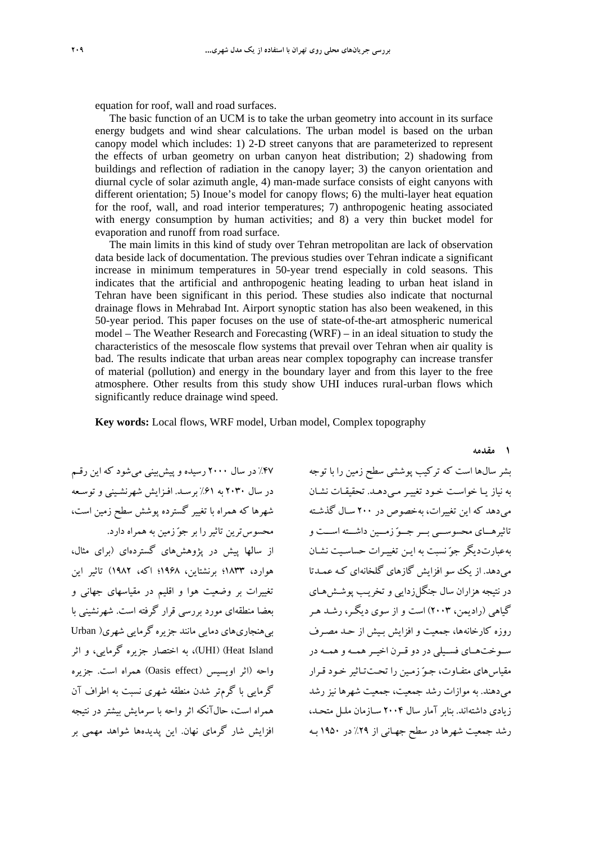equation for roof, wall and road surfaces.

The basic function of an UCM is to take the urban geometry into account in its surface energy budgets and wind shear calculations. The urban model is based on the urban canopy model which includes: 1) 2-D street canyons that are parameterized to represent the effects of urban geometry on urban canyon heat distribution; 2) shadowing from buildings and reflection of radiation in the canopy layer; 3) the canyon orientation and diurnal cycle of solar azimuth angle, 4) man-made surface consists of eight canyons with different orientation; 5) Inoue's model for canopy flows; 6) the multi-layer heat equation for the roof, wall, and road interior temperatures; 7) anthropogenic heating associated with energy consumption by human activities; and 8) a very thin bucket model for evaporation and runoff from road surface.

The main limits in this kind of study over Tehran metropolitan are lack of observation data beside lack of documentation. The previous studies over Tehran indicate a significant increase in minimum temperatures in 50-year trend especially in cold seasons. This indicates that the artificial and anthropogenic heating leading to urban heat island in Tehran have been significant in this period. These studies also indicate that nocturnal drainage flows in Mehrabad Int. Airport synoptic station has also been weakened, in this 50-year period. This paper focuses on the use of state-of-the-art atmospheric numerical model – The Weather Research and Forecasting (WRF) – in an ideal situation to study the characteristics of the mesoscale flow systems that prevail over Tehran when air quality is bad. The results indicate that urban areas near complex topography can increase transfer of material (pollution) and energy in the boundary layer and from this layer to the free atmosphere. Other results from this study show UHI induces rural-urban flows which significantly reduce drainage wind speed.

**Key words:** Local flows, WRF model, Urban model, Complex topography

%47 در سال 2000 رسيده و پيشبيني ميشود كه اين رقـم در سال 2030 به %61 برسـد. افـزايش شهرنشـيني و توسـعه شهرها كه همراه با تغيير گسترده پوشش سطح زمين است،

محسوسترين تاثيررا بر جو زمين به همراه دارد. از سالها پيش در پژوهشهاي گستردهاي (براي مثال، هوارد، 1833؛ برنشتاين، 1968؛ اكه، 1982) تاثير اين تغييرات بر وضعيت هوا و اقليم در مقياسهاي جهاني و بعضا منطقهاي مورد بررسي قرار گرفته است. شهرنشيني با بيهنجاريهاي دمايي مانند جزيره گرمايي شهري( Urban Island Heat) (UHI(، به اختصار جزيره گرمايي، و اثر واحه (اثر اويسيس (Oasis effect) همراه است. جزيره گرمايي با گرمتر شدن منطقه شهري نسبت به اطراف آن همراه است، حالآنكه اثر واحه با سرمايش بيشتر در نتيجه افزايش شار گرماي نهان. اين پديدهها شواهد مهمي بر

بشر سالها است كه تركيب پوششي سطح زمين را با توجه به نياز يـا خواسـت خـود تغييـر مـي دهـد. تحقيقـات نشـان ميدهد كه اين تغييرات، بهخصوص در 200 سـال گذشـته تاثيرهـــاي محسوســـي بـــر جـــو زمـــين داشـــته اســـت و بهعبارتديگر جو نسبت به ايـن تغييـرات حساسـيت نشـان ميدهد. از يك سو افزايش گازهاي گلخانهاي كـه عمـدتا در نتيجه هزاران سال جنگلزدايي و تخريـب پوشـشهـاي گياهي (راديمن، 2003) است و از سوي ديگـر، رشـد هـر روزه كارخانهها، جمعيت و افزايش بـيش از حـد مصـرف ســوختهــاي فســيلي در دو قــرن اخيــرهمــه و همــه در مقياسهاي متفـاوت، جـو زمـين را تحـتتـاثير خـود قـرار ميدهند. به موازات رشد جمعيت، جمعيت شهرها نيز رشد زيادي داشتهاند. بنابر آمار سال 2004 سـازمان ملـل متحـد، رشد جمعيت شهرها در سطح جهـاني از %29 در 1950 بـه

**1 مقدمه**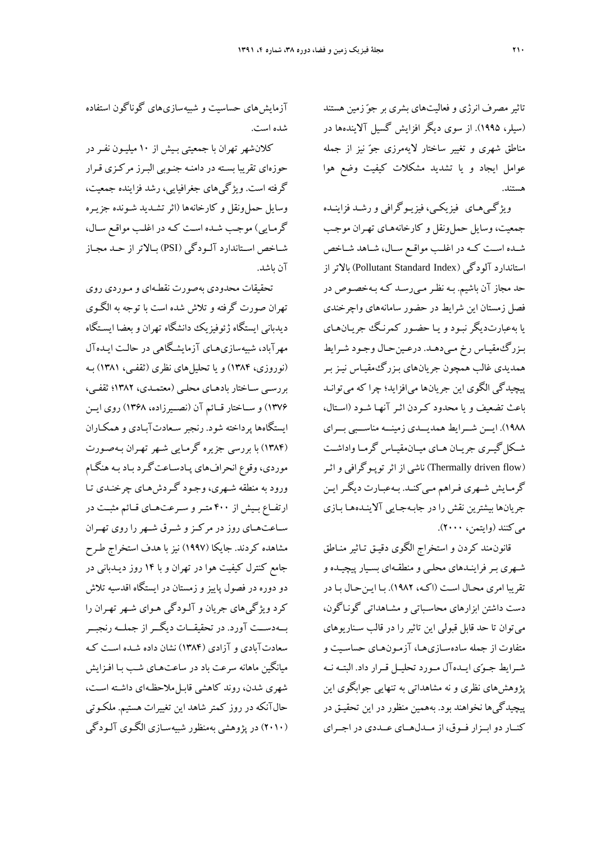تاثير مصرف انرژي و فعاليتهاي بشري بر جو زمين هستند (سيلر، 1995). از سوي ديگر افزايش گسيل آلايندهها در مناطق شهري و تغيير ساختار لايهمرزي جو نيز از جمله عوامل ايجاد و يا تشديد مشكلات كيفيت وضع هوا هستند.

ويژگـيهـاي فيزيكـي، فيزيـوگرافي ورشـد فزاينـده جمعيت، وسايل حملونقل و كارخانههـاي تهـران موجـب شــده اســت كــه در اغلــب مواقــع ســال، شــاهد شــاخص استاندارد آلودگي (Index Standard Pollutant (بالاتراز حد مجاز آن باشيم. بـه نظـرمـيرسـد كـه بـهخصـوص در فصل زمستان اين شرايط در حضور سامانههاي واچرخندي يا بهعبارتديگر نبـود و يـا حضـور كمرنـگ جريـانهـاي بـزرگمقيـاس رخ مـيدهـد. درعـينحـال وجـود شـرايط همديدي غالب همچون جريانهاي بـزرگمقيـاس نيـز بـر پيچيدگي الگوي اين جريانها ميافزايد؛ چرا كه ميتوانـد باعث تضعيف و يا محدود كـردن اثـر آنهـا شـود (اسـتال، 1988). ايـــن شـــرايط همديـــدي زمينـــه مناســـبي بـــراي شــكلگيــري جريــان هــاي ميــانمقيــاس گرمــا واداشــت (flow driven Thermally (ناشي از اثرتوپـوگرافي و اثـر گرمـايش شـهري فـراهم مـيكنـد. بـهعبـارت ديگـرايـن جريانها بيشترين نقش را در جابـهجـايي آلاينـدههـا بـازي ميكنند (وايتمن، 2000).

قانونمند كردن و استخراج الگوي دقيـق تـاثير منـاطق شـهري بـرفراينـدهاي محلـي و منطقـهاي بسـيار پيچيـده و تقريبا امري محـال اسـت (اكـه، 1982). بـا ايـنحـال بـا در دست داشتن ابزارهاي محاسـباتي و مشـاهداتي گونـاگون، ميتوان تا حد قابل قبولي اين تاثير را در قالب سـناريوهاي متفاوت از جمله سادهسـازيهـا، آزمـونهـاي حساسـيت و شــرايط جــوي ايــدهآل مــورد تحليــل قــرار داد. البتــه نــه پژوهشهاي نظري و نه مشاهداتي به تنهايي جوابگوي اين پيچيدگيها نخواهند بود. بههمين منظور در اين تحقيـق در كنــار دوابــزار فــوق، از مــدلهــاي عــددي در اجــراي

آزمايشهاي حساسيت و شبيهسازيهاي گوناگون استفاده شده است.

كلانشهر تهران با جمعيتي بـيش از 10 ميليـون نفـر در حوزهاي تقريبا بسـته در دامنـه جنـوبي البـرز مركـزي قـرار گرفته است. ويژگيهاي جغرافيايي، رشد فزاينده جمعيت، وسايل حملونقل و كارخانهها (اثر تشـديد شـونده جزيـره گرمـايي) موجـب شـده اسـت كـه در اغلـب مواقـع سـال، شــاخص اســتاندارد آلــودگي (PSI (بــالاتراز حــد مجــاز آن باشد.

تحقيقات محدودي بهصورت نقطـهاي و مـوردي روي تهران صورت گرفته و تلاش شده است با توجه به الگـوي ديدباني ايستگاه ژئوفيزيك دانشگاه تهران و بعضا ايسـتگاه مهرآباد، شبيهسازيهـاي آزمايشـگاهي در حالـت ايـدهآ ل (نوروزي، 1384) و يا تحليلهاي نظري (ثقفـي، 1381) بـه بررسـي سـاختار بادهـاي محلـي (معتمـدي، 1382؛ ثقفـي، 1376) و ســاختار قــائم آن (نصــيرزاده، 1368) روي ايــن ايستگاهها پرداخته شود. رنجبر سـعادتآبـادي وهمكـاران (1384) با بررسي جزيره گرمـايي شـهر تهـران بـ هصـورت موردي، وقوع انحرافهاي پـادسـاعتگـرد بـاد بـه هنگـام ورود به منطقه شـهري، وجـود گـردشهـاي چرخنـدي تـا ارتفــاع بــيش از 400 متــرو ســرعتهــاي قــائم مثبــت در ســاعتهــاي روز در مركــزو شــرق شــهررا روي تهــران مشاهده كردند. جايكا (1997) نيز با هدف استخراج طـرح جامع كنترل كيفيت هوا در تهران و با 14 روز ديـدباني در دو دوره در فصول پاييز و زمستان در ايستگاه اقدسيه تلاش كرد ويژگيهاي جريان و آلـودگي هـواي شـهر تهـران را بــهدســت آورد. در تحقيقــات ديگــراز جملــه رنجبــر سعادتآبادي و آزادي (1384) نشان داده شـده اسـت كـه ميانگين ماهانه سرعت باد در ساعتهـاي شـب بـا افـزايش شهري شدن، روند كاهشي قابـل ملاحظـهاي داشـته اسـت، حالآنكه در روز كمتر شاهد اين تغييرات هستيم. ملكـوتي (2010) در پژوهشي بهمنظور شبيهسـازي الگـوي آلـودگي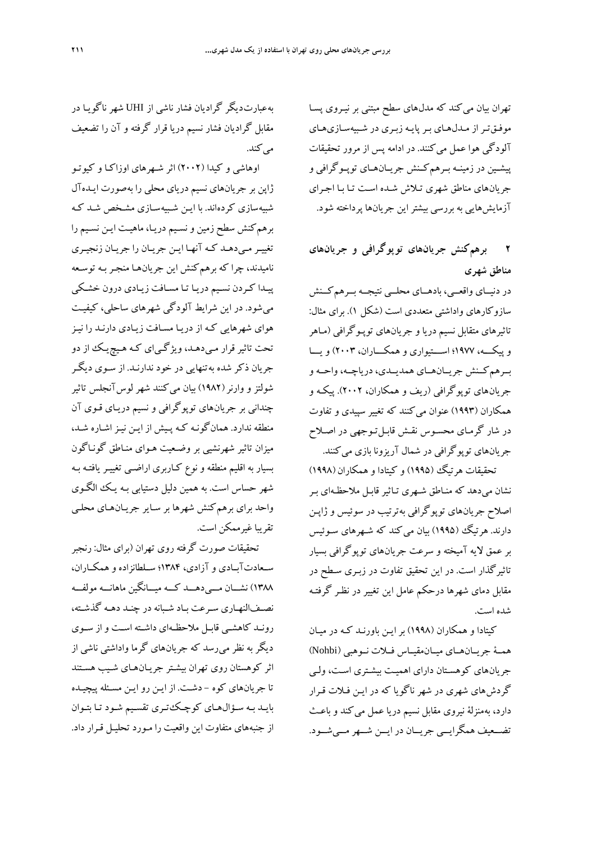تهران بيان ميكند كه مدلهاي سطح مبتني بر نيـروي پسـا موفـقتـراز مـدلهـاي بـرپايـه زبـري در شـبيه سـازيهـاي آلودگي هوا عمل ميكنند. در ادامه پس از مرور تحقيقات پيشــين در زمينــه بــرهمكــنش جريــانهــاي توپــوگرافي و جريانهاي مناطق شهري تـلاش شـده اسـت تـا بـا اجـراي آزمايشهايي به بررسي بيشتراين جريانها پرداخته شود.

## **2 برهمكنش جريانهاي توپوگرافي و جريانهاي مناطق شهري**

در دنيــاي واقعــي، بادهــاي محلــي نتيجــه بــرهمكــنش سازوكارهاي واداشتي متعددي است (شكل 1). براي مثال: تاثيرهاي متقابل نسيم دريا و جريانهاي توپـوگرافي (مـاهر و پيكـــه، 1977؛ اســـتيواري وهمكـــاران، 2003) ويـــا بــرهمكــنش جريــانهــاي همديــدي، درياچــه، واحــه و جريانهاي توپوگرافي (ريف و همكاران، 2002). پيكـه و همكاران (1993) عنوان ميكنند كه تغيير سپيدي و تفاوت در شار گرمـاي محسـوس نقـش قابـل تـوجهي در اصـلاح جريانهاي توپوگرافي در شمال آريزونا بازي ميكنند.

تحقيقات هرتيگ (1995) و كيتادا و همكاران (1998) .<br>نشان مي دهد كه منــاطق شــهري تــاثبر قابـل ملاحظـهاي بـر اصلاح جريانهاي توپوگرافي بهترتيب در سوئيس و ژاپـن دارند. هر تيگ (۱۹۹۵) بيان مي كند كه شـهرهاي سـوئيس بر عمق لايه آميخته و سرعت جريانهاي توپوگرافي بسيار تاثيرگذار است. در اين تحقيق تفاوت در زبـري سـطح در مقابل دماي شهرها درحكم عامل اين تغيير در نظـر گرفتـه شده است.

كيتادا و همكاران (1998) بر ايـن باورنـد كـه در ميـان همــة جريــانهــاي ميــانمقيــاس فــلات نــوهبي (Nohbi( جريانهاي كوهسـتان داراي اهميـت بيشـتري اسـت، ولـي گردشهاي شهري در شهر ناگويا كه در ايـن فـلات قـرار دارد، بهمنزلة نيروي مقابل نسيم دريا عمل ميكند و باعـث تضــعيف همگرايــي جريــان در ايــن شــهرمــيشــود.

بهعبارتديگر گراديان فشار ناشي از UHI شهر ناگويـا در مقابل گراديان فشار نسيم دريا قرار گرفته و آن را تضعيف مي كند.

اوهاشي و كيدا (2002) اثر شـهرهاي اوزاكـا و كيوتـو ژاپن بر جريانهاي نسيم درياي محلي را بهصورت ايـدهآل شبيهسازي كردهاند. با ايـن شـبيهسـازي مشـخص شـد كـه برهم كنش سطح زمين و نسـيم دريـا، ماهيـت ايـن نسـيم را تغييـرمـيدهـد كـه آنهـا ايـن جريـان را جريـان زنجيـري ناميدند، چرا كه برهمكنش اين جريانهـا منجـر بـه توسـعه پيـدا كـردن نسـيم دريـا تـا مسـافت زيـادي درون خشـكي ميشود. در اين شرايط آلودگي شهرهاي ساحلي، كيفيـت هواي شهرهايي كـه از دريـا مسـافت زيـادي دارنـد را نيـز تحت تاثير قرار مـيدهـد، ويژگـياي كـه هـيچيـك از دو جريان ذكر شده به تنهايي در خود ندارنـد. از سـوي ديگـر شولتز و وارنر(1982) بيان ميكنند شهر لوسآنجلس تاثير چنداني بر جريانهاي توپوگرافي و نسيم دريـاي قـوي آن منطقه ندارد. همانگونـه كـه پـيش از ايـن نيـز اشـاره شـد، ميزان تاثير شهرنشيي بر وضـعيت هـواي منـاطق گونـاگون بسيار به اقليم منطقه و نوع كـاربري اراضـي تغييـر يافتـه بـه شهر حساس است. به همين دليل دستيابي بـه يـك الگـوي واحد براي برهمكنش شهرها بر سـاير جريـانهـاي محلـي تقريبا غيرممكن است.

تحقيقات صورت گرفته روي تهران (براي مثال: رنجبر ســعادتآبــادي و آزادي، 1384؛ ســلطانزاده و همكــاران، 1388) نشـــان مـــيدهـــد كـــه ميـــانگين ماهانـــه مولفـــه نصـفالنهـاري سـرعت بـاد شـبانه در چنـد دهـه گذشـته، رونـد كاهشـي قابـل ملاحظـهاي داشـته اسـت و از سـوي ديگر به نظر ميرسد كه جريانهاي گرما واداشتي ناشي از اثر كوهستان روي تهران بيشـتر جريـانهـاي شـيب هسـتند تا جريانهاي كوه - دشـت. از ايـن رو ايـن مسـئله پيچيـده بايـد بـه سـؤالهـاي كوچـكتـري تقسـيم شـود تـا بتـوان از جنبههاي متفاوت اين واقعيت را مـورد تحليـل قـرار داد.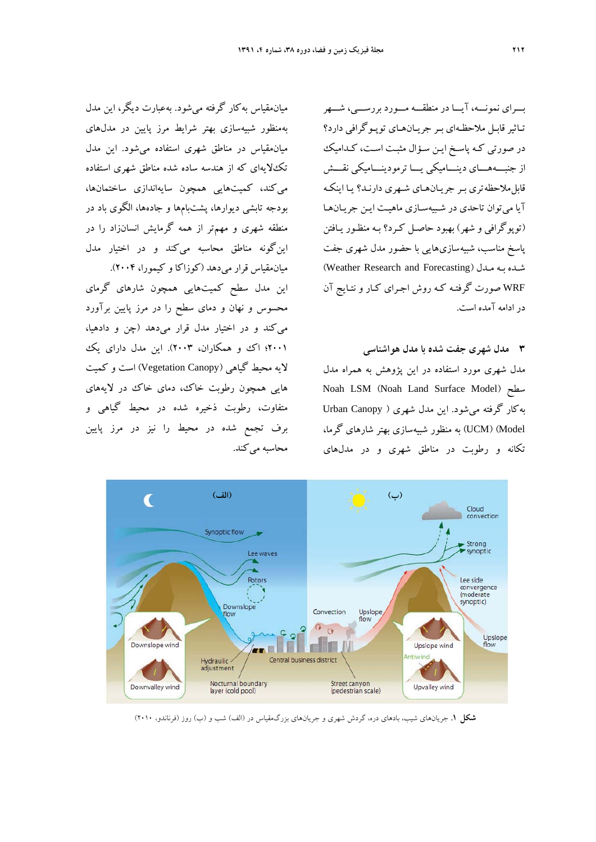بـــراي نمونـــه، آيـــا در منطقـــه مـــورد بررســـي، شـــهر تـاثيرقابـل ملاحظـهاي بـر جريـانهـاي توپـوگرافي دارد؟ در صورتي كـه پاسـخ ايـن سـؤال مثبـت اسـت، كـداميك از جنبـــههـــاي دينـــاميكي يـــا ترمودينـــاميكي نقـــش قابلملاحظه تري بـر جريـانهـاي شـهري دارنـد؟ يـا اينكـه آيا ميتوان تاحدي در شـبيهسـازي ماهيـت ايـن جريـان هـا (توپوگرافي و شهر) بهبود حاصـل كـرد؟ بـه منظـور يـافتن پاسخ مناسب، شبيهسازيهايي با حضور مدل شهري جفت (Weather Research and Forecasting) مـدل بـه شـده WRF صورت گرفتـه كـه روش اجـراي كـار و نتـايج آن در ادامه آمده است.

**3 مدل شهري جفت شده با مدل هواشناسي**  مدل شهري مورد استفاده در اين پژوهش به همراه مدل Noah LSM (Noah Land Surface Model) سطح بهكار گرفته ميشود. اين مدل شهري ( Canopy Urban Model) (UCM (به منظور شبيهسازي بهتر شارهاي گرما، تكانه و رطوبت در مناطق شهري و در مدلهاي



اين مدل سطح كميتهايي همچون شارهاي گرماي محسوس و نهان و دماي سطح را در مرز پايين برآورد ميكند و در اختيار مدل قرار ميدهد (چن و دادهيا، 2001؛ اك و همكاران، 2003). اين مدل داراي يك لايه محيط گياهي (Canopy Vegetation (است و كميت هايي همچون رطوبت خاك، دماي خاك در لايههاي متفاوت، رطوبت ذخيره شده در محيط گياهي و برف تجمع شده در محيط را نيز در مرز پايين محاسبه مي كند.



**شكل .1** جريانهاي شيب، بادهاي دره، گردش شهري و جريانهاي بزرگمقياس در (الف) شب و (ب) روز (فرناندو، 2010)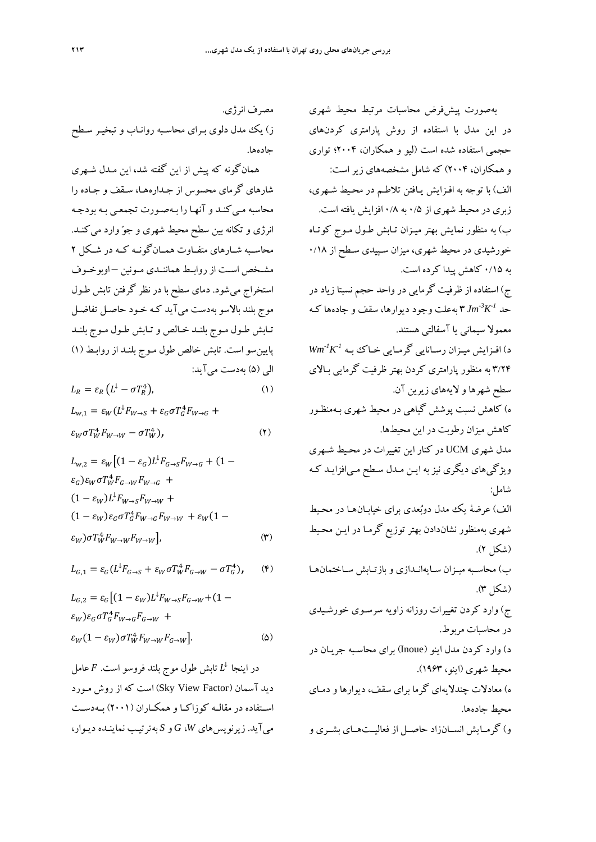بهصورت پيشفرض محاسبات مرتبط محيط شهري در اين مدل با استفاده از روش پارامتري كردنهاي حجمي استفاده شده است (ليو و همكاران، 2004؛ تواري و همكاران، 2004) كه شامل مشخصههاي زيراست: الف) با توجه به افـزايش يـافتن تلاطـم در محـيط شـهري، زبري در محيط شهري از 0/5 به 0/8 افزايش يافته است. ب) به منظور نمايش بهتر ميـزان تـابش طـول مـوج كوتـاه خورشيدي در محيط شهري، ميزان سـپيدي سـطح از 0/18 به 0/15 كاهش پيدا كرده است. ج) استفاده از ظرفيت گرمايي در واحد حجم نسبتا زياد در 3 بهعلت وجود ديوارها، سقف و جادهها كـه *-1K-3* حد *Jm* معمولا سيماني يا آسفالتي هستند. *-1K-1* د) افـزايش ميـزان رسـانايي گرمـايي خـاك بـه *Wm* 3/24 به منظور پارامتري كردن بهتر ظرفيت گرمايي بـالاي سطح شهرها و لايههاي زيرين آن. ه) كاهش نسبت پوشش گياهي در محيط شهري بـهمنظـور كاهش ميزان رطوبت در اين محيطها. مدل شهري UCM در كنار اين تغييرات در محـيط شـهري ويژگيهاي ديگري نيز به ايـن مـدل سـطح مـيافزايـد كـه شامل: الف) عرضة يك مدل دوبعدي براي خيابـانهـا در محـيط شهري بهمنظور نشاندادن بهتر توزيع گرمـا در ايـن محـيط (شكل 2). ب) محاسـبه ميـزان سـايهانـدازي و بازتـابش سـاختمانهـا (شكل 3). ج) وارد كردن تغييرات روزانه زاويه سرسـوي خورشـيدي در محاسبات مربوط. د) وارد كردن مدل اينو (Inoue (براي محاسـبه جريـان در محيط شهري (اينو، 1963). ه) معادلات چندلايهاي گرما براي سقف، ديوارها و دمـاي محيط جادهها. و) گرمــايش انســانزاد حاصــل از فعاليــتهــاي بشــري و

مصرف انرژي. ز) يك مدل دلوي بـراي محاسـبه روانـاب و تبخيـر سـطح جادهها.

همانگونه كه پيش از اين گفته شد، اين مـدل شـهري شارهاي گرماي محسوس از جـدارههـا، سـقف و جـاده را محاسبه مـيكنـد و آنهـا را بـهصـورت تجمعـي بـه بودجـه انرژي و تكانه بين سطح محيط شهري و جوّ وارد مي كنــد. محاســبه شــارهاي متفــاوت همــانگونــه كــه در شــكل 2 مشــخص اســت از روابــط هماننــدي مــونين – اوبوخــوف استخراج ميشود. دماي سطح با در نظر گرفتن تابش طـول موج بلند بالاسو بهدست ميآيد كـه خـود حاصـل تفاضـل تـابش طـول مـوج بلنـد خـالص وتـابش طـول مـوج بلنـد پايينسو است. تابش خالص طول مـوج بلنـد از روابـط (1) الي (5) بهدست ميآيد:

$$
L_R = \varepsilon_R \left( L^{\downarrow} - \sigma T_R^4 \right), \tag{1}
$$

$$
L_{w,1} = \varepsilon_W (L^{\downarrow} F_{W \to S} + \varepsilon_G \sigma T_G^4 F_{W \to G} +
$$
  

$$
\varepsilon_W \sigma T_W^4 F_{W \to W} - \sigma T_W^4), \qquad (7)
$$

$$
L_{w,2} = \varepsilon_W \left[ (1 - \varepsilon_G) L^{\downarrow} F_{G \to S} F_{W \to G} + (1 - \varepsilon_G) \varepsilon_W \sigma T_W^4 F_{G \to W} F_{W \to G} + (1 - \varepsilon_W) L^{\downarrow} F_{W \to S} F_{W \to W} + (1 - \varepsilon_W) \varepsilon_G \sigma T_G^4 F_{W \to G} F_{W \to W} + \varepsilon_W (1 - \varepsilon_W) \sigma T_W^4 F_{W \to W} F_{W \to W} \right], \tag{\text{(*)}}
$$

$$
L_{G,1} = \varepsilon_G (L^1 F_{G \to S} + \varepsilon_W \sigma T_W^4 F_{G \to W} - \sigma T_G^4), \qquad (*)
$$

$$
L_{G,2} = \varepsilon_G \left[ (1 - \varepsilon_W) L^{\downarrow} F_{W \to S} F_{G \to W} + (1 - \varepsilon_W) \varepsilon_G \sigma T_G^4 F_{W \to G} F_{G \to W} + \varepsilon_W (1 - \varepsilon_W) \sigma T_W^4 F_{W \to W} F_{G \to W} \right].
$$
 (2)

در اينجا  $L^{\downarrow}$  تابش طول موج بلند فروسو است.  $F$  عامل ديد آسمان (Factor View Sky (است كه از روش مـورد اســتفاده در مقالــه كوزاكــا و همكــاران (2001) بــهدســت ميآيد. زيرنويسهاي *W*، *G* و *S* بهترتيـب نماينـده ديـوار،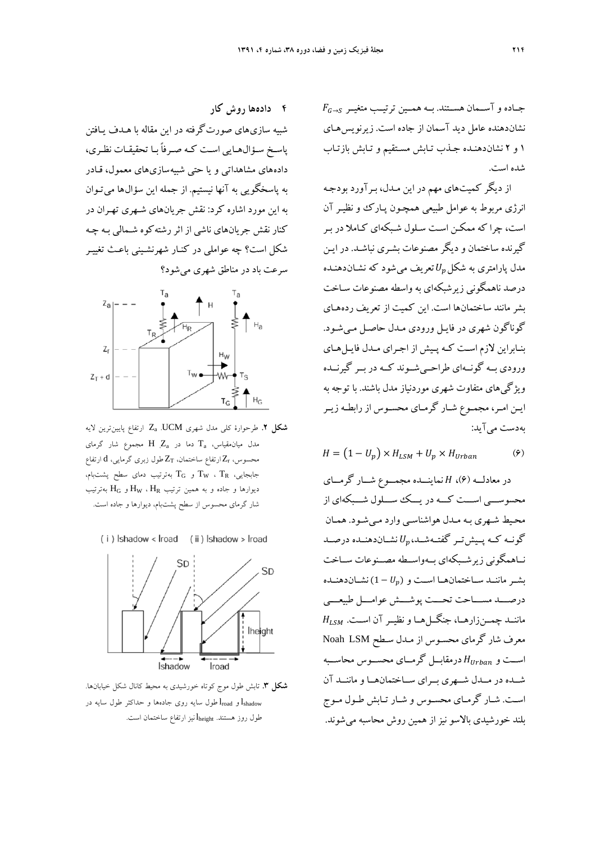$F_{G\rightarrow S}$  جـاده و آســمان هســتند. بــه همــين ترتيــب متغيــر نشاندهنده عامل ديد آسمان از جاده است. زيرنويسهـاي 1 و 2 نشاندهنـده جـذب تـابش مسـتقيم و تـابش بازتـاب شده است.

از ديگر كميتهاي مهم در اين مـدل، بـرآورد بودجـه انرژي مربوط به عوامل طبيعي همچـون پـارك و نظيـر آن است، چرا كه ممكـن اسـت سـلول شـبكه اي كـاملا در بـر گيرنده ساختمان و ديگر مصنوعات بشـري نباشـد. در ايـن مدل پارامتري به شكل $U_n$ تعريف مي شود كه نشــان<code>دهنـده</code> درصد ناهمگوني زيرشبكهاي به واسطه مصنوعات سـاخت بشر مانند ساختمانها است. اين كميت از تعريف ردههـاي گوناگون شهري در فايـل ورودي مـدل حاصـل مـي شـود. بنـابراين لازم اسـت كـه پـيش از اجـراي مـدل فايـلهـاي ورودي بــه گونــهاي طراحــيشــوند كــه در بــر گيرنــده ويژگيهاي متفاوت شهري موردنياز مدل باشند. با توجه به ايـن امـر، مجمـوع شـار گرمـاي محسـوس از رابطـه زيـر بهدست ميآيد:

 $H = (1 - U_p) \times H_{LSM} + U_p \times H_{Urban}$  (۶)

در معادلـــه (6)، ܪ نماينـــده مجمـــوع شـــار گرمـــاي محسوســـي اســـت كـــه در يـــك ســـلول شـــبكه اي از محـيط شـهري بـه مـدل هواشناسـي وارد مـي شـود. همـان گونــه كــه پــيش تــر گفتــهشــد، $U_p$  نشــاندهنــده درصــد نــاهمگوني زيرشــبكهاي بــهواســطه مصــنوعات ســاخت بشـر ماننــد ســاختمانهــا اسـت و  $(U_p)$  نشـاندهنــده درصـــد مســـاحت تحـــت پوشـــش عوامـــل طبيعـــي  $H_{LSM}$  ماننــد چمــنزارهــا، جنگــلهــا و نظيــر آن اســت. معرف شار گرماي محسـوس از مـدل سـطح LSM Noah اســت و  $H_{Urban}$  درمقابــل گرمــاي محســوس محاســبه شــده در مــدل شــهري بــراي ســاختمان هــا و ماننــد آن اسـت. شـار گرمـاي محسـوس و شـار تـابش طـول مـوج بلند خورشيدي بالاسو نيز از همين روش محاسبه مي شوند.

**4 دادهها روش كار** 

شبيه سازيهاي صورتگرفته در اين مقاله با هـدف يـافتن پاسـخ سـؤالهـايي اسـت كـه صـرفاً بـا تحقيقـات نظـري، دادههاي مشاهداتي و يا حتي شبيهسازيهاي معمول، قـادر به پاسخگويي به آنها نيستيم. از جمله اين سؤال ها ميتـوان به اين مورد اشاره كرد: نقش جريانهاي شـهري تهـران در كنار نقش جريانهاي ناشي از اثررشتهكوه شـمالي بـه چـه شكل است؟ چه عواملي در كنـار شهرنشـيني باعـث تغييـر سرعت باد در مناطق شهري ميشود؟



- **شكل .2** طرحوارة كلي مدل شهري UCM. Za ارتفاع پايينترين لايه ، مدل ميانمقياس،  $\rm{T_a}$  دما در  $\rm{Z_a}$  مجموع شار گرمای ارتفاع ساختمان،  $Z_{\rm T}$  طول زبري گرمايي،  ${\rm d}$  ارتفاع  $Z_{\rm r}$ جابجايى،  $\rm T_R$  ،  $\rm T_G$  و  $\rm T_G$  بەترتيب دماي سطح پشتبام، ديوارها و جاده و به همين ترتيب  $\rm H_{N}$  ،  $\rm H_{R}$ و  $\rm H_{G}$  بهترتيب شار گرماي محسوس از سطح پشتبام، ديوارها و جاده است.
	- $(i)$  shadow < lroad  $(ii)$  shadow > lroad



**شكل .3** تابش طول موج كوتاه خورشيدي به محيط كانال شكل خيابانها. و  $\rm l_{road}$ طول سايه روى جادهها و حداكثر طول سايه در  $\rm l_{shadow}$ طول روز هستند. lheight نيز ارتفاع ساختمان است.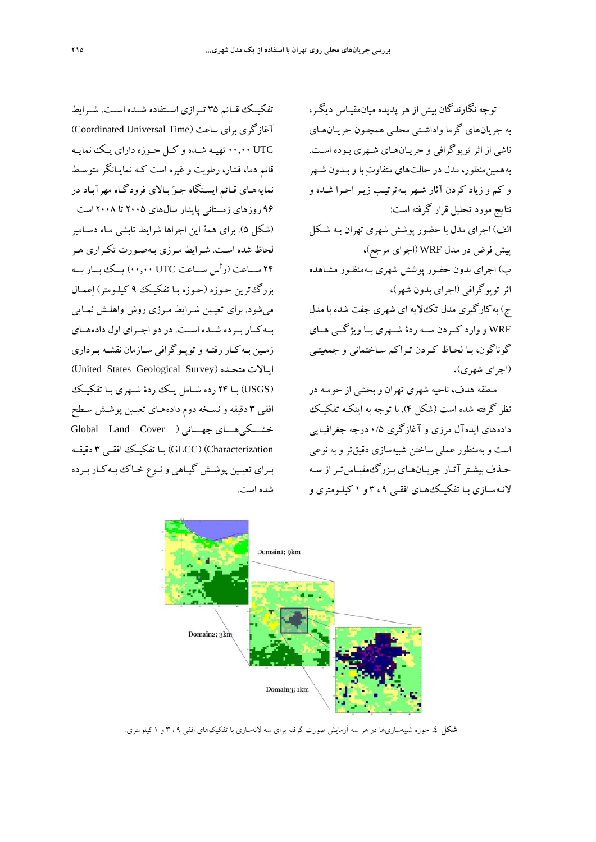تفكيــك قــائم 35 تــرازي اســتفاده شــده اســت. شــرايط آغازگري براي ساعت (Time Universal Coordinated( UTC 00,00 تهيـه شـده و كـل حـوزه داراي يـك نمايـه قائم دما، فشار، رطوبت و غيره است كـه نمايـانگر متوسـط نمايههـاي قـائم ايسـتگاه جـو بـالاي فرودگـاه مهرآبـاد در 96 روزهاي زمستاني پايدار سالهاي 2005 تا 2008 است (شكل 5). براي همة اين اجراها شرايط تابشي مـاه دسـامبر لحاظ شده اسـت. شـرايط مـرزي بـهصـورت تكـراري هـر 24 ســاعت (رأس ســاعت UTC 00,00 (يــك بــار بــه بزرگترين حـوزه (حـوزه بـا تفكيـك 9 كيلـومتر) اعمـال ميشود. براي تعيـين شـرايط مـرزي روش واهلـش نمـايي بــهكــار بــرده شــده اســت. در دواجــراي اول دادههــاي زمـين بـهكـار رفتـه وتوپـوگرافي سـازمان نقشـه بـرداري (United States Geological Survey) متحـده ايـالات (USGS (بـا 24 رده شـامل يـك ردة شـهري بـا تفكيـك افقي 3 دقيقه و نسـخه دوم دادههـاي تعيـين پوشـش سـطح Global Land Cover ) جهـــاني خشـــكيهـــاي Characterization) (GLCC (بـا تفكيـك افقـي 3 دقيقـه بـراي تعيـين پوشـش گيـاهي ونـوع خـاك بـهكـار بـرده شده است.

توجه نگارندگان بيش از هر پديده ميانمقيـاس ديگـر، به جريانهاي گرما واداشـتي محلـي همچـون جريـان هـاي ناشي از اثر توپوگرافي و جريـانهـاي شـهري بـوده اسـت . به همين منظور، مدل در حالتهاي متفاوت با و بـدون شـهر و كم و زياد كردن آثار شـهر بـه ترتيـب زيـر اجـرا شـده و نتايج مورد تحليل قرار گرفته است: الف) اجراي مدل با حضور پوشش شهري تهران بـه شـكل پيش فرض در مدل WRF) اجراي مرجع)، ب) اجراي بدون حضور پوشش شهري بـه منظـور مشـاهده اثرتوپوگرافي (اجراي بدون شهر)، ج) بهكارگيري مدل تكلايه اي شهري جفت شده با مدل WRF و وارد كــردن ســه ردة شــهري بــاويژگــي هــاي گوناگون، بـا لحـاظ كـردن تـراكم سـاختماني و جمعيتـي (اجراي شهري).

منطقه هدف، ناحيه شهري تهران و بخشي از حومـه در نظر گرفته شده است (شكل 4). با توجه به اينكـه تفكيـك دادههاي ايدهآل مرزي و آغازگري ۰/۵ درجه جغرافيـايي است و بهمنظور عملي ساختن شبيهسازي دقيقترو به نوعي حـذف بيشـترآثـار جريـانهـاي بـزرگمقيـاستـراز سـه لانـهسـازي بـا تفكيـكهـاي افقـي 9 ، 3 و 1 كيلـومتري و



**شكل .4** حوزه شبيهسازيها در هر سه آزمايش صورت گرفته براي سه لانهسازي با تفكيكهاي افقي 9 ، 3 و 1 كيلومتري.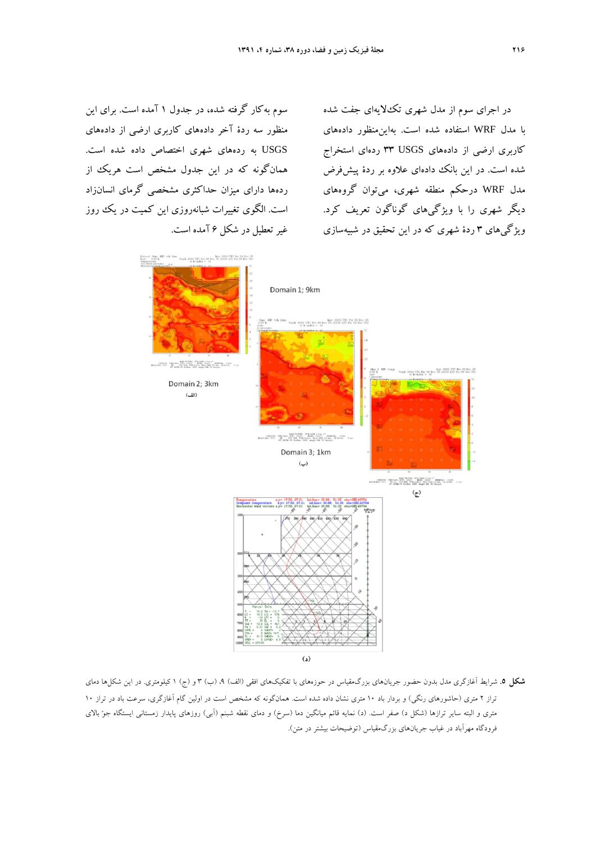سوم بهكار گرفته شده، در جدول 1 آمده است. براي اين منظور سه ردة آخر دادههاي كاربري ارضي از دادههاي USGS به ردههاي شهري اختصاص داده شده است. همانگونه كه در اين جدول مشخص است هريك از ردهها داراي ميزان حداكثري مشخصي گرماي انسانزاد است. الگوي تغييرات شبانهروزي اين كميت در يك روز غيرتعطيل در شكل 6 آمده است.

در اجراي سوم از مدل شهري تكلايهاي جفت شده با مدل WRF استفاده شده است. بهاينمنظور دادههاي كاربري ارضي از دادههاي USGS 33 ردهاي استخراج شده است. در اين بانك دادهاي علاوه بر ردة پيشفرض مدل WRF درحكم منطقه شهري، ميتوان گروههاي ديگر شهري را با ويژگيهاي گوناگون تعريف كرد. ويژگيهاي 3 ردة شهري كه در اين تحقيق در شبيهسازي



**شكل .5** شرايط آغازگري مدل بدون حضور جريانهاي بزرگمقياس در حوزههاي با تفكيكهاي افقي (الف) ،9 (ب) 3 و (ج) 1 كيلومتري. در اين شكلها دماي تراز 2 متري (حاشورهاي رنگي) و بردار باد 10 متري نشان داده شده است. همانگونه كه مشخص است در اولين گام آغازگري، سرعت باد در تراز 10 متري و البته ساير ترازها (شكل د) صفر است. (د) نمايه قائم ميانگين دما (سرخ) و دماي نقطه شبنم (آبي) روزهاي پايدار زمستاني ايستگاه جو بالاي فرودگاه مهرآباد در غياب جريانهاي بزرگمقياس (توضيحات بيشتر در متن).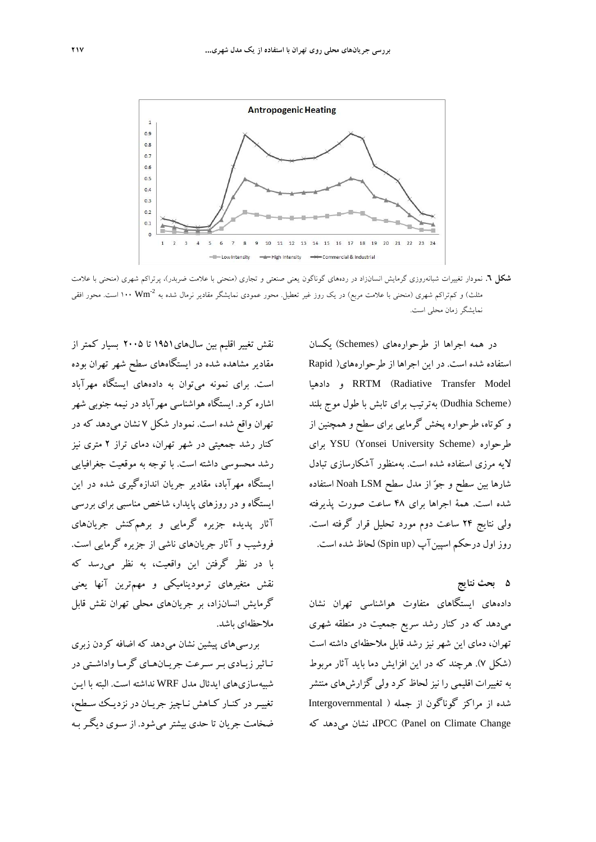

**شكل .6** نمودار تغييرات شبانهروزي گرمايش انسانزاد در ردههاي گوناگون يعني صنعتي و تجاري (منحني با علامت ضربدر)، پرتراكم شهري (منحني با علامت مثلث) و كم تراكم شهرى (منحنى با علامت مربع) در يك روز غير تعطيل. محور عمودى نمايشگر مقادير نرمال شده به °Wm \+1 است. محور افقى نمايشگر زمان محلي است.

در همه اجراها از طرحوارههاي (Schemes (يكسان استفاده شده است. در اين اجراها از طرحوارههاي( Rapid دادهيا و RRTM (Radiative Transfer Model (Dudhia Scheme) بهترتيب براي تابش با طول موج بلند و كوتاه، طرحواره پخش گرمايي براي سطح و همچنين از براي YSU (Yonsei University Scheme) طرحواره لايه مرزي استفاده شده است. بهمنظور آشكارسازي تبادل شارها بين سطح و جو از مدل سطح LSM Noah استفاده شده است. همة اجراها براي 48 ساعت صورت پذيرفته ولي نتايج 24 ساعت دوم مورد تحليل قرار گرفته است. روز اول درحكم اسپين آپ (Spin up) لحاظ شده است.

**5 بحث نتايج** دادههاي ايستگاهاي متفاوت هواشناسي تهران نشان ميدهد كه در كنار رشد سريع جمعيت در منطقه شهري تهران، دماي اين شهر نيز رشد قابل ملاحظهاي داشته است (شكل 7). هرچند كه در اين افزايش دما بايد آثار مربوط به تغييرات اقليمي را نيز لحاظ كرد ولي گزارشهاي منتشر شده از مراكز گوناگون از جمله ( Intergovernmental كه ميدهد نشان ،IPCC (Panel on Climate Change

نقش تغيير اقليم بين سالهاي1951 تا 2005 بسيار كمتر از مقادير مشاهده شده در ايستگاههاي سطح شهر تهران بوده است. براي نمونه ميتوان به دادههاي ايستگاه مهرآباد اشاره كرد. ايستگاه هواشناسي مهرآباد در نيمه جنوبي شهر تهران واقع شده است. نمودار شكل 7 نشان ميدهد كه در كنار رشد جمعيتي در شهر تهران، دماي تراز 2 متري نيز رشد محسوسي داشته است. با توجه به موقعيت جغرافيايي ايستگاه مهرآباد، مقادير جريان اندازهگيري شده در اين ايستگاه و در روزهاي پايدار، شاخص مناسبي براي بررسي آثار پديده جزيره گرمايي و برهمكنش جريانهاي فروشيب و آثار جريانهاي ناشي از جزيره گرمايي است. با در نظر گرفتن اين واقعيت، به نظر ميرسد كه نقش متغيرهاي ترموديناميكي و مهمترين آنها يعني گرمايش انسانزاد، بر جريانهاي محلي تهران نقش قابل ملاحظهاي باشد.

بررسيهاي پيشين نشان ميدهد كه اضافه كردن زبري تـاثيرزيـادي بـر سـرعت جريـانهـاي گرمـاواداشـتي در شبيهسازيهاي ايدئال مدل WRF نداشته است. البته با ايـن تغييـردر كنـار كـاهش نـاچيز جريـان در نزديـك سـطح، ضخامت جريان تا حدي بيشتر ميشود. از سـوي ديگـر بـه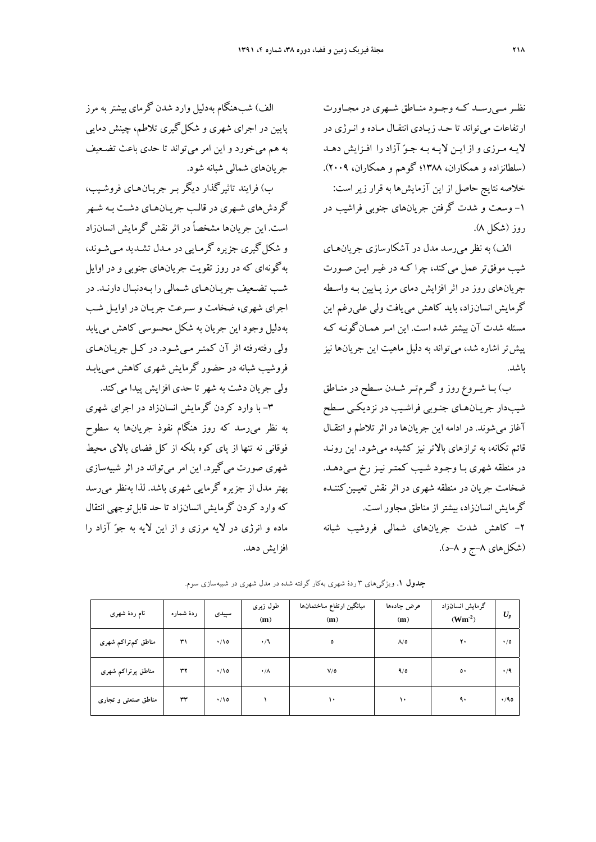نظــر مــي رســد كــه وجــود منــاطق شــهري در مجــاورت ارتفاعات ميتواند تا حـد زيـادي انتقـال مـاده و انـرژي در لايـه مـرزي و از ايـن لايـه بـه جـو آزاد را افـزايش دهـد (سلطانزاده و همكاران، 1388؛ گوهم و همكاران، 2009). خلاصه نتايج حاصل از اين آزمايشها به قرار زيراست: -1 وسعت و شدت گرفتن جريانهاي جنوبي فراشيب در روز (شكل 8).

الف) به نظر ميرسد مدل در آشكارسازي جريانهـاي شيب موفقتر عمل ميكند، چرا كـه در غيـر ايـن صـورت جريانهاي روز در اثر افزايش دماي مرز پـايين بـه واسـطه گرمايش انسانزاد، بايد كاهش مييافت ولي عليرغم اين مسئله شدت آن بيشتر شده است. اين امـر همـانگونـه كـه پيشتر اشاره شد، ميتواند به دليل ماهيت اين جريانها نيز باشد.

ب) بـا شـروع روز و گـرمتـر شـدن سـطح در منـاطق شيبدار جريـانهـاي جنـوبي فراشـيب در نزديكـي سـطح آغاز ميشوند. در ادامه اين جريانها در اثرتلاطم وانتقـال قائم تكانه، به ترازهاي بالاتر نيز كشيده ميشود. اين رونـد در منطقه شهري بـا وجـود شـيب كمتـر نيـز رخ مـي دهـد. ضخامت جريان در منطقه شهري در اثر نقش تعيـين كننـده گرمايش انسانزاد، بيشتراز مناطق مجاور است. -2 كاهش شدت جريانهاي شمالي فروشيب شبانه

(شكلهاي ۸–ج و ۸–د).

الف) شب هنگام بهدليل وارد شدن گرماي بيشتربه مرز پايين در اجراي شهري و شكل گيري تلاطم، چينش دمايي به هم ميخورد و اين امر ميتواند تا حدي باعث تضـعيف جريانهاي شمالي شبانه شود.

ب) فرايند تاثيرگذار ديگر بـر جريـانهـاي فروشـيب، گردشهاي شـهري در قالـب جريـانهـاي دشـت بـه شـهر است. اين جريانها مشخصاً در اثر نقش گرمايش انسانزاد و شكل گيري جزيره گرمـايي در مـدل تشـديد مـي شـوند، به گونهاي كه در روز تقويت جريانهاي جنوبي و در اوايل شـب تضـعيف جريـانهـاي شـمالي را بـهدنبـال دارنـد. در اجراي شهري، ضخامت و سـرعت جريـان در اوايـل شـب به دليل وجود اين جريان به شكل محسوسي كاهش مييابد ولي رفته رفته اثر آن كمتـر مـيشـود. در كـل جريـانهـاي فروشيب شبانه در حضور گرمايش شهري كاهش مـييابـد ولي جريان دشت به شهرتا حدي افزايش پيدا ميكند.

-3 با وارد كردن گرمايش انسانزاد در اجراي شهري به نظر ميرسد كه روز هنگام نفوذ جريانها به سطوح فوقاني نه تنها از پاي كوه بلكه از كل فضاي بالاي محيط شهري صورت ميگيرد. اين امر ميتواند در اثر شبيهسازي بهتر مدل از جزيره گرمايي شهري باشد. لذا بهنظر ميرسد كه وارد كردن گرمايش انسانزاد تا حد قابل توجهي انتقال ماده و انرژي در لايه مرزي و از اين لايه به جو آزاد را افزايش دهد.

| نام ردهٔ شهری       | ردهٔ شماره | سپیدی      | طول زبرى<br>(m) | ميانگين ارتفاع ساختمانها<br>(m) | عرض جادهها<br>(m) | گرمایش انسانزاد<br>$(Wm-2)$ | $U_p$     |
|---------------------|------------|------------|-----------------|---------------------------------|-------------------|-----------------------------|-----------|
| مناطق کم,تراکم شهری | ٣١         | $\cdot$ 10 | $\cdot/7$       | ٥                               | $\Lambda/\Delta$  | ۲۰                          | $\cdot/0$ |
| مناطق پرتراکم شھری  | ٣٢         | $\cdot$ 10 | $\cdot/\Lambda$ | $V/\delta$                      | 9/0               | $\circ\cdot$                | $\cdot/9$ |
| مناطق صنعتی و تجاری | ٣٣         | $\cdot$ 10 |                 | ۱۰                              | ١٠                | ٩.                          | .40       |

**جدول .1** ويژگيهاي 3 ردة شهري بهكار گرفته شده در مدل شهري در شبيهسازي سوم.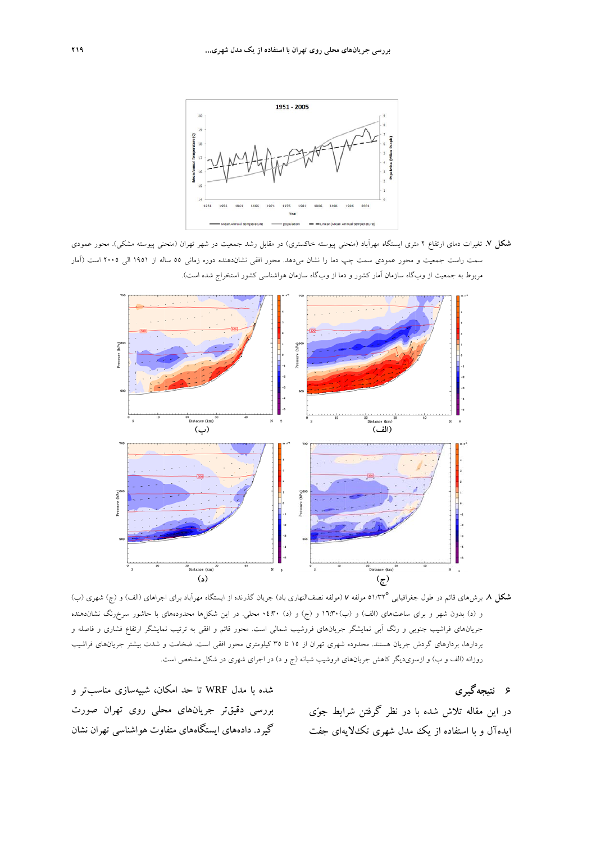

**شكل .7** تغيرات دماي ارتفاع 2 متري ايستگاه مهرآباد (منحني پيوسته خاكستري) در مقابل رشد جمعيت در شهر تهران (منحني پيوسته مشكي). محور عمودي سمت راست جمعيت و محور عمودي سمت چپ دما را نشان ميدهد. محور افقي نشاندهنده دوره زماني 55 ساله از 1951 الي 2005 است (آمار مربوط به جمعيت از وبگاه سازمان آمار كشور و دما از وبگاه سازمان هواشناسي كشور استخراج شده است).



51/32 مولفه *<sup>v</sup>*) مولفه نصفالنهاري باد) جريان گذرنده از ايستگاه مهرآباد براي اجراهاي (الف) <sup>و</sup> (ج) شهري (ب) <sup>o</sup> **شكل .8** برشهاي قائم در طول جغرافيايي و (د) بدون شهر و براي ساعتهاي (الف) و (ب)16:30 و (ج) و (د) 04:30 محلي. در اين شكلها محدودههاي با حاشور سرخرنگ نشاندهنده جريانهاي فراشيب جنوبي و رنگ آبي نمايشگر جريانهاي فروشيب شمالي است. محور قائم و افقي به ترتيب نمايشگر ارتفاع فشاري و فاصله و بردارها، بردارهاي گردش جريان هستند. محدوده شهري تهران از 15 تا 35 كيلومتري محور افقي است. ضخامت و شدت بيشتر جريانهاي فراشيب روزانه (الف و ب) و ازسويديگر كاهش جريانهاي فروشيب شبانه (ج و د) در اجراي شهري در شكل مشخص است.

**6 نتيجهگيري**

در اين مقاله تلاش شده با در نظر گرفتن شرايط جوي ايدهآل و با استفاده از يك مدل شهري تكلايهاي جفت

شده با مدل WRF تا حد امكان، شبيهسازي مناسبتر و بررسي دقيقتر جريانهاي محلي روي تهران صورت گيرد. دادههاي ايستگاههاي متفاوت هواشناسي تهران نشان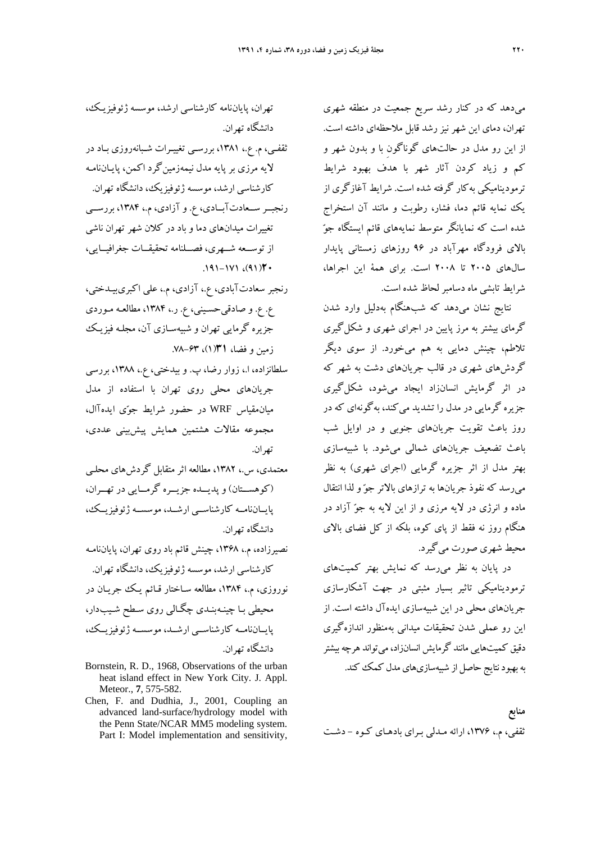ميدهد كه در كنار رشد سريع جمعيت در منطقه شهري تهران، دماي اين شهر نيز رشد قابل ملاحظهاي داشته است. از اين رو مدل در حالتهاي گوناگونِ با و بدون شهر و كم و زياد كردن آثار شهر با هدف بهبود شرايط ترموديناميكي بهكار گرفته شده است. شرايط آغازگري از يك نمايه قائم دما، فشار، رطوبت و مانند آن استخراج شده است كه نمايانگر متوسط نمايههاي قائم ايستگاه جو بالاي فرودگاه مهرآباد در 96 روزهاي زمستاني پايدار سالهاي 2005 تا 2008 است. براي همة اين اجراها، شرايط تابشي ماه دسامبرلحاظ شده است.

نتايج نشان ميدهد كه شبهنگام بهدليل وارد شدن گرماي بيشتر به مرز پايين در اجراي شهري و شكلگيري تلاطم، چينش دمايي به هم ميخورد. از سوي ديگر گردشهاي شهري در قالب جريانهاي دشت به شهر كه در اثر گرمايش انسانزاد ايجاد ميشود، شكلگيري جزيره گرمايي در مدل را تشديد ميكند، بهگونهاي كه در روز باعث تقويت جريانهاي جنوبي و در اوايل شب باعث تضعيف جريانهاي شمالي ميشود. با شبيهسازي بهتر مدل از اثر جزيره گرمايي (اجراي شهري) به نظر ميرسد كه نفوذ جريانها به ترازهاي بالاتر جو و لذا انتقال ماده و انرژي در لايه مرزي و از اين لايه به جو آزاد در هنگام روز نه فقط از پاي كوه، بلكه از كل فضاي بالاي محيط شهري صورت ميگيرد.

در پايان به نظر ميرسد كه نمايش بهتر كميتهاي ترموديناميكي تاثير بسيار مثبتي در جهت آشكارسازي جريانهاي محلي در اين شبيهسازي ايدهآل داشته است. از اين رو عملي شدن تحقيقات ميداني بهمنظور اندازهگيري دقيق كميتهايي مانند گرمايش انسانزاد، مي تواند هرچه بيشتر به بهبود نتايج حاصل از شبيهسازيهاي مدل كمك كند.

**منابع**  ثقفي، م،. ،1376 ارائه مـدلي بـراي بادهـاي كـوه - دشـت

تهران، پاياننامه كارشناسي ارشد، موسسه ژئوفيزيـك، دانشگاه تهران.

ثقفـي، م. ع،. ،1381 بررسـي تغييـرات شـبانهروزي بـاد در لايه مرزي بر پايه مدل نيمهزمينگرد اكمن، پايـاننامـه كارشناسي ارشد، موسسه ژئوفيزيك، دانشگاه تهران.

رنجبــر ســعادتآبــادي، ع. و آزادي، م،. ،1384 بررســي تغييرات ميدانهاي دما و باد در كلان شهر تهران ناشي از توســعه شــهري، فصــلنامه تحقيقــات جغرافيــايي، .191-171 ،(91)**20**

- رنجبر سعادتآبادي، ع،. آزادي، م،. علي اكبريبيـدختي، ع. ع. و صادقيحسـيني، ع. ر،. ،1384 مطالعـه مـوردي جزيره گرمايي تهران و شبيهسـازي آن، مجلـه فيزيـك زمين و فضا، **31**(1)، .78-63
- سلطانزاده، ا،. زوار رضا، پ. و بيدختي، ع،. ،1388 بررسي جريانهاي محلي روي تهران با استفاده از مدل ميانمقياس WRF در حضور شرايط جوي ايدهآ ال، مجموعه مقالات هشتمين همايش پيشبيني عددي، تهران.
- معتمدي، س،. ،1382 مطالعه اثر متقابل گردشهاي محلـي (كوهســتان) و پديــده جزيــره گرمــايي در تهــران، پايــاننامــه كارشناســي ارشــد، موسســه ژئوفيزيــك، دانشگاه تهران.
- نصيرزاده، م،. ،1368 چينش قائم باد روي تهران، پاياننامـه كارشناسي ارشد، موسسه ژئوفيزيك، دانشگاه تهران. نوروزي، م،. ،1384 مطالعه سـاختار قـائم يـك جريـان در محيطي بـا چينـهبنـدي چگـالي روي سـطح شـيبدار، پايــاننامــه كارشناســي ارشــد، موسســه ژئوفيزيــك، دانشگاه تهران.
- Bornstein, R. D., 1968, Observations of the urban heat island effect in New York City. J. Appl. Meteor., **7**, 575-582.
- Chen, F. and Dudhia, J., 2001, Coupling an advanced land-surface/hydrology model with the Penn State/NCAR MM5 modeling system. Part I: Model implementation and sensitivity,